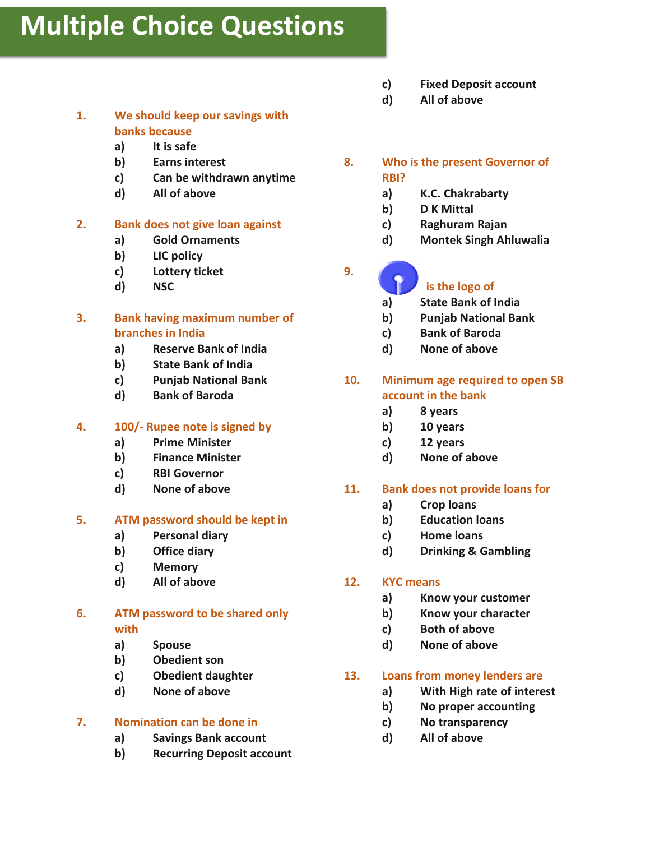# **Multiple Choice Questions**

- **1. We should keep our savings with banks because**
	- **a) It is safe**
	- **b) Earns interest**
	- **c) Can be withdrawn anytime**
	- **d) All of above**

# **2. Bank does not give loan against**

- **a) Gold Ornaments**
- **b) LIC policy**
- **c) Lottery ticket**
- **d) NSC**
- **3. Bank having maximum number of branches in India**
	- **a) Reserve Bank of India**
	- **b) State Bank of India**
	- **c) Punjab National Bank**
	- **d) Bank of Baroda**

# **4. 100/- Rupee note is signed by**

- **a) Prime Minister**
- **b) Finance Minister**
- **c) RBI Governor**
- **d) None of above**

#### **5. ATM password should be kept in**

- **a) Personal diary**
- **b) Office diary**
- **c) Memory**
- **d) All of above**

#### **6. ATM password to be shared only with**

- **a) Spouse**
- **b) Obedient son**
- **c) Obedient daughter**
- **d) None of above**

#### **7. Nomination can be done in**

- **a) Savings Bank account**
- **b) Recurring Deposit account**
- **c) Fixed Deposit account**
- **d) All of above**
- **8. Who is the present Governor of RBI?**
	- **a) K.C. Chakrabarty**
	- **b) D K Mittal**
	- **c) Raghuram Rajan**
	- **d) Montek Singh Ahluwalia**

**9.**

# **is the logo of**

- **a) State Bank of India**
- **b) Punjab National Bank**
- **c) Bank of Baroda**
- **d) None of above**

# **10. Minimum age required to open SB account in the bank**

- **a) 8 years**
- **b) 10 years**
- **c) 12 years**
- **d) None of above**

#### **11. Bank does not provide loans for**

- **a) Crop loans**
- **b) Education loans**
- **c) Home loans**
- **d) Drinking & Gambling**

#### **12. KYC means**

- **a) Know your customer**
- **b) Know your character**
- **c) Both of above**
- **d) None of above**

#### **13. Loans from money lenders are**

- **a) With High rate of interest**
- **b) No proper accounting**
- **c) No transparency**
- **d) All of above**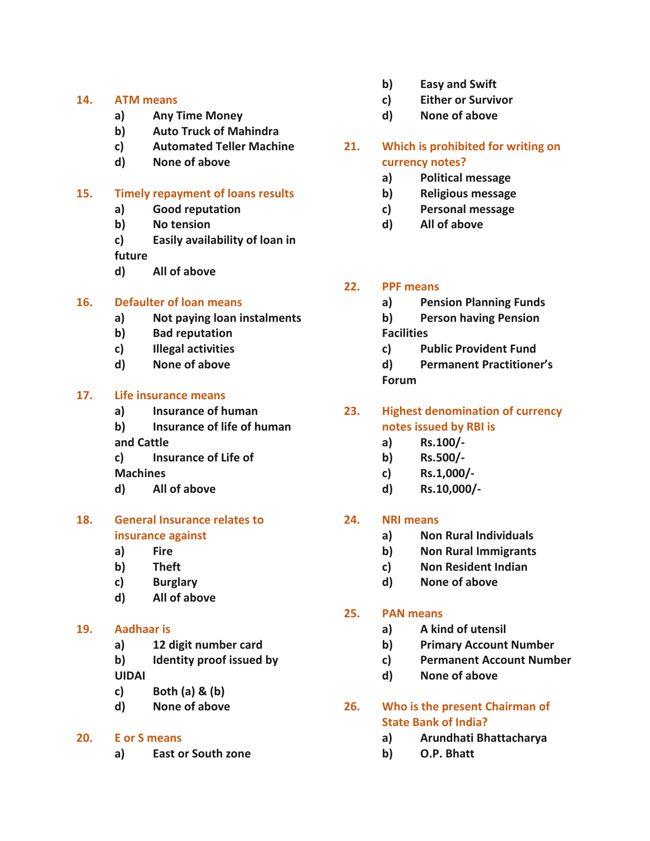#### **14. ATM means**

- **a) Any Time Money**
- **b) Auto Truck of Mahindra**
- **c) Automated Teller Machine**
- **d) None of above**

## **15. Timely repayment of loans results**

- **a) Good reputation**
- **b) No tension**
- **c) Easily availability of loan in**

**future**

**d) All of above**

# **16. Defaulter of loan means**

- **a) Not paying loan instalments**
- **b) Bad reputation**
- **c) Illegal activities**
- **d) None of above**

#### **17. Life insurance means**

- **a) Insurance of human**
- **b) Insurance of life of human and Cattle**
- **c) Insurance of Life of**

**Machines**

**d) All of above**

# **18. General Insurance relates to insurance against**

- **a) Fire**
- **b) Theft**
- **c) Burglary**
- **d) All of above**

#### **19. Aadhaar is**

- **a) 12 digit number card**
- **b) Identity proof issued by**

**UIDAI**

- **c) Both (a) & (b)**
- **d) None of above**

# **20. E or S means**

**a) East or South zone**

- **b) Easy and Swift**
- **c) Either or Survivor**
- **d) None of above**
- **21. Which is prohibited for writing on currency notes?**
	- **a) Political message**
	- **b) Religious message**
	- **c) Personal message**
	- **d) All of above**

# **22. PPF means**

- **a) Pension Planning Funds**
- **b) Person having Pension Facilities**
- **c) Public Provident Fund**
- **d) Permanent Practitioner's Forum**
- **23. Highest denomination of currency notes issued by RBI is**
	- **a) Rs.100/-**
	- **b) Rs.500/-**
	- **c) Rs.1,000/-**
	- **d) Rs.10,000/-**

# **24. NRI means**

- **a) Non Rural Individuals**
- **b) Non Rural Immigrants**
- **c) Non Resident Indian**
- **d) None of above**

# **25. PAN means**

- **a) A kind of utensil**
- **b) Primary Account Number**
- **c) Permanent Account Number**
- **d) None of above**
- **26. Who is the present Chairman of State Bank of India?**
	- **a) Arundhati Bhattacharya**
	- **b) O.P. Bhatt**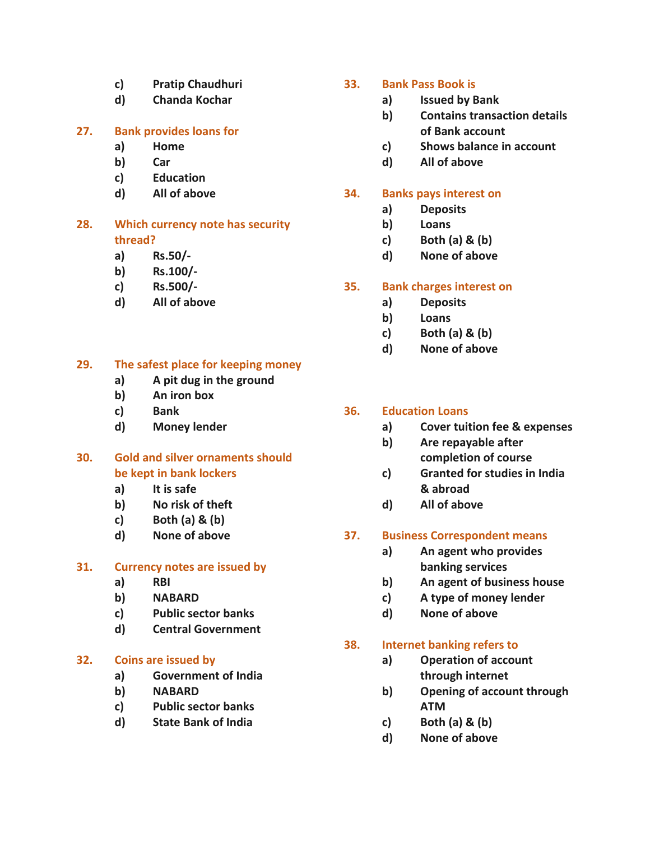- **c) Pratip Chaudhuri**
- **d) Chanda Kochar**

# **27. Bank provides loans for**

- **a) Home**
- **b) Car**
- **c) Education**
- **d) All of above**

# **28. Which currency note has security thread?**

- **a) Rs.50/-**
- **b) Rs.100/-**
- **c) Rs.500/-**
- **d) All of above**

# **29. The safest place for keeping money**

- **a) A pit dug in the ground**
- **b) An iron box**
- **c) Bank**
- **d) Money lender**

# **30. Gold and silver ornaments should be kept in bank lockers**

- **a) It is safe**
- **b) No risk of theft**
- **c) Both (a) & (b)**
- **d) None of above**

# **31. Currency notes are issued by**

- **a) RBI**
- **b) NABARD**
- **c) Public sector banks**
- **d) Central Government**

# **32. Coins are issued by**

- **a) Government of India**
- **b) NABARD**
- **c) Public sector banks**
- **d) State Bank of India**

#### **33. Bank Pass Book is**

- **a) Issued by Bank**
- **b) Contains transaction details of Bank account**
- **c) Shows balance in account**
- **d) All of above**

## **34. Banks pays interest on**

- **a) Deposits**
- **b) Loans**
- **c) Both (a) & (b)**
- **d) None of above**

# **35. Bank charges interest on**

- **a) Deposits**
- **b) Loans**
- **c) Both (a) & (b)**
- **d) None of above**

# **36. Education Loans**

- **a) Cover tuition fee & expenses**
- **b) Are repayable after completion of course**
- **c) Granted for studies in India & abroad**
- **d) All of above**

#### **37. Business Correspondent means**

- **a) An agent who provides banking services**
- **b) An agent of business house**
- **c) A type of money lender**
- **d) None of above**

#### **38. Internet banking refers to**

- **a) Operation of account through internet**
- **b) Opening of account through ATM**
- **c) Both (a) & (b)**
- **d) None of above**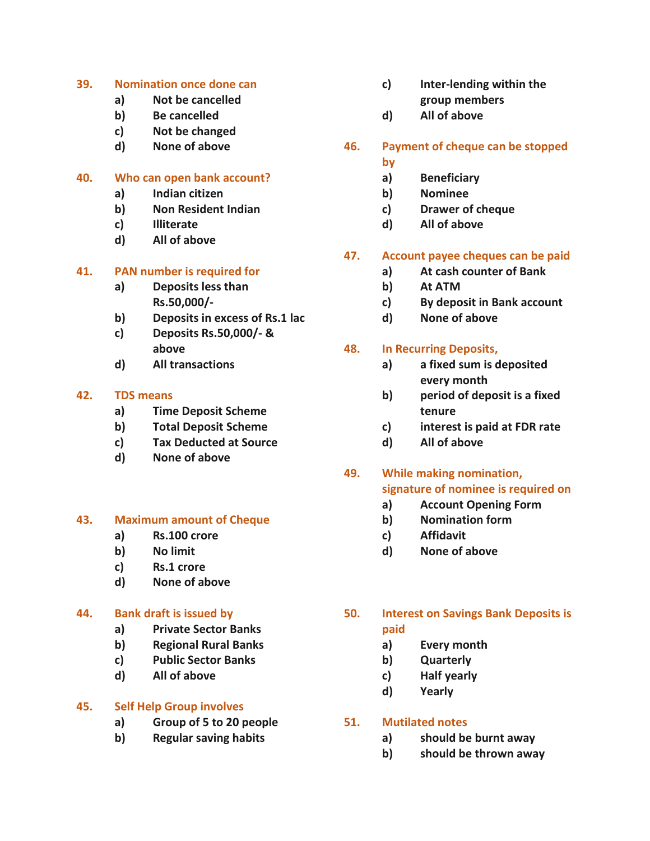#### **39. Nomination once done can**

- **a) Not be cancelled**
- **b) Be cancelled**
- **c) Not be changed**
- **d) None of above**

#### **40. Who can open bank account?**

- **a) Indian citizen**
- **b) Non Resident Indian**
- **c) Illiterate**
- **d) All of above**

#### **41. PAN number is required for**

- **a) Deposits less than Rs.50,000/-**
- **b) Deposits in excess of Rs.1 lac**
- **c) Deposits Rs.50,000/- & above**
- **d) All transactions**

#### **42. TDS means**

- **a) Time Deposit Scheme**
- **b) Total Deposit Scheme**
- **c) Tax Deducted at Source**
- **d) None of above**

#### **43. Maximum amount of Cheque**

- **a) Rs.100 crore**
- **b) No limit**
- **c) Rs.1 crore**
- **d) None of above**

#### **44. Bank draft is issued by**

- **a) Private Sector Banks**
- **b) Regional Rural Banks**
- **c) Public Sector Banks**
- **d) All of above**

#### **45. Self Help Group involves**

- **a) Group of 5 to 20 people**
- **b) Regular saving habits**
- **c) Inter-lending within the group members**
- **d) All of above**
- **46. Payment of cheque can be stopped** 
	- **by**
	- **a) Beneficiary**
	- **b) Nominee**
	- **c) Drawer of cheque**
	- **d) All of above**

#### **47. Account payee cheques can be paid**

- **a) At cash counter of Bank**
- **b) At ATM**
- **c) By deposit in Bank account**
- **d) None of above**

# **48. In Recurring Deposits,**

- **a) a fixed sum is deposited every month**
- **b) period of deposit is a fixed tenure**
- **c) interest is paid at FDR rate**
- **d) All of above**

# **49. While making nomination,**

# **signature of nominee is required on**

- **a) Account Opening Form**
- **b) Nomination form**
- **c) Affidavit**
- **d) None of above**
- **50. Interest on Savings Bank Deposits is paid**
	- **a) Every month**
	- **b) Quarterly**
	- **c) Half yearly**
	- **d) Yearly**

#### **51. Mutilated notes**

- **a) should be burnt away**
- **b) should be thrown away**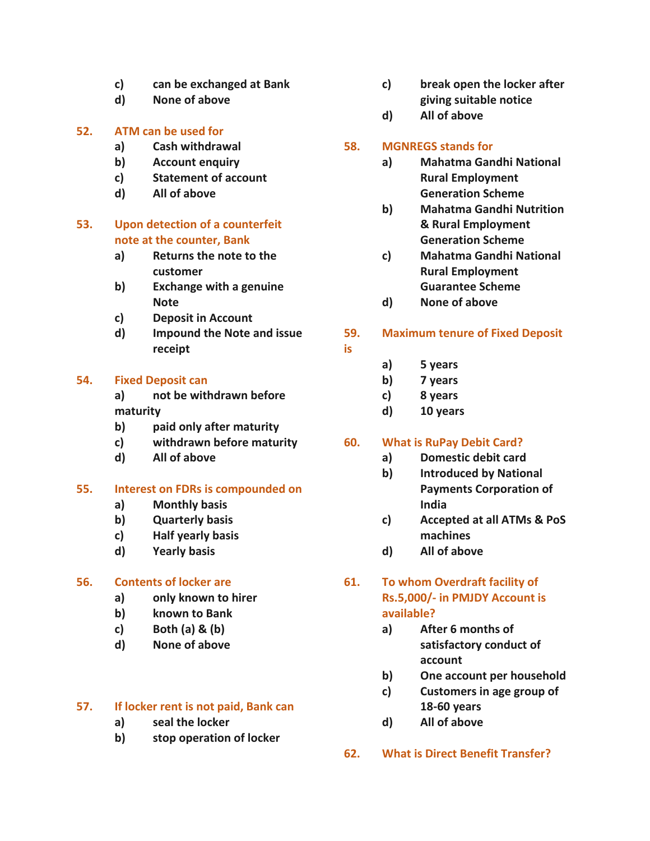- **c) can be exchanged at Bank**
- **d) None of above**

#### **52. ATM can be used for**

- **a) Cash withdrawal**
- **b) Account enquiry**
- **c) Statement of account**
- **d) All of above**

# **53. Upon detection of a counterfeit note at the counter, Bank**

- **a) Returns the note to the customer**
- **b) Exchange with a genuine Note**
- **c) Deposit in Account**
- **d) Impound the Note and issue receipt**

#### **54. Fixed Deposit can**

- **a) not be withdrawn before maturity**
- **b) paid only after maturity**
- **c) withdrawn before maturity**
- **d) All of above**

#### **55. Interest on FDRs is compounded on**

- **a) Monthly basis**
- **b) Quarterly basis**
- **c) Half yearly basis**
- **d) Yearly basis**

#### **56. Contents of locker are**

- **a) only known to hirer**
- **b) known to Bank**
- **c) Both (a) & (b)**
- **d) None of above**

#### **57. If locker rent is not paid, Bank can**

- **a) seal the locker**
- **b) stop operation of locker**
- **c) break open the locker after giving suitable notice**
- **d) All of above**

#### **58. MGNREGS stands for**

- **a) Mahatma Gandhi National Rural Employment Generation Scheme**
- **b) Mahatma Gandhi Nutrition & Rural Employment Generation Scheme**
- **c) Mahatma Gandhi National Rural Employment Guarantee Scheme**
- **d) None of above**

#### **59. Maximum tenure of Fixed Deposit**

**a) 5 years**

**is**

- **b) 7 years**
- **c) 8 years**
- **d) 10 years**

#### **60. What is RuPay Debit Card?**

- **a) Domestic debit card**
- **b) Introduced by National Payments Corporation of India**
- **c) Accepted at all ATMs & PoS machines**
- **d) All of above**
- **61. To whom Overdraft facility of Rs.5,000/- in PMJDY Account is available?**
	- **a) After 6 months of satisfactory conduct of account**
	- **b) One account per household**
	- **c) Customers in age group of 18-60 years**
	- **d) All of above**
- **62. What is Direct Benefit Transfer?**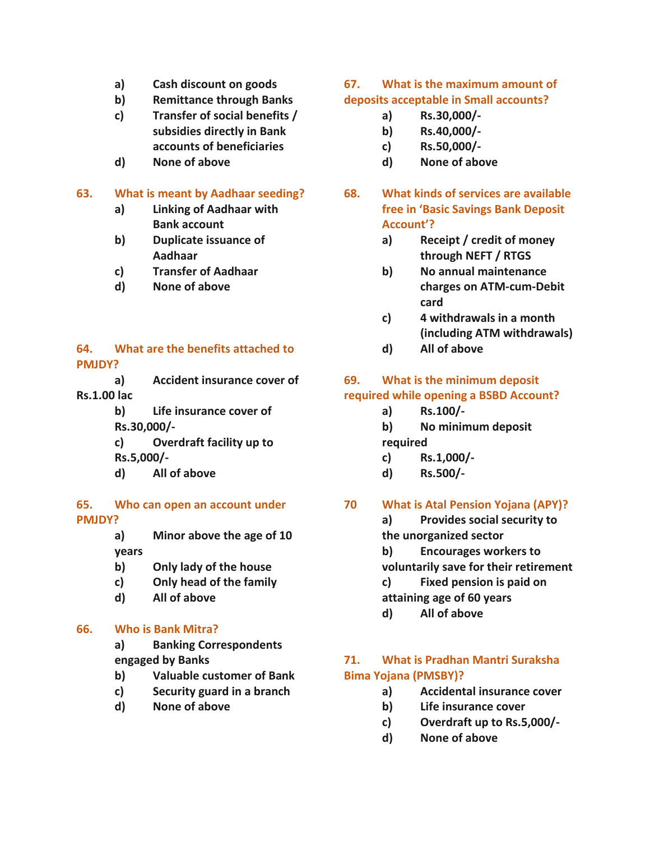- **a) Cash discount on goods**
- **b) Remittance through Banks**
- **c) Transfer of social benefits / subsidies directly in Bank accounts of beneficiaries**
- **d) None of above**

## **63. What is meant by Aadhaar seeding?**

- **a) Linking of Aadhaar with Bank account**
- **b) Duplicate issuance of Aadhaar**
- **c) Transfer of Aadhaar**
- **d) None of above**

#### **64. What are the benefits attached to PMJDY?**

- **a) Accident insurance cover of Rs.1.00 lac**
	- **b) Life insurance cover of Rs.30,000/-**
	- **c) Overdraft facility up to Rs.5,000/-**
	- **d) All of above**

#### **65. Who can open an account under PMJDY?**

- **a) Minor above the age of 10 years**
- **b) Only lady of the house**
- **c) Only head of the family**
- **d) All of above**

#### **66. Who is Bank Mitra?**

**a) Banking Correspondents engaged by Banks**

- **b) Valuable customer of Bank**
- **c) Security guard in a branch**
- **d) None of above**

#### **67. What is the maximum amount of deposits acceptable in Small accounts?**

- **a) Rs.30,000/-**
- **b) Rs.40,000/-**
- **c) Rs.50,000/-**
- **d) None of above**
- **68. What kinds of services are available free in 'Basic Savings Bank Deposit Account'?**
	- **a) Receipt / credit of money through NEFT / RTGS**
	- **b) No annual maintenance charges on ATM-cum-Debit card**
	- **c) 4 withdrawals in a month (including ATM withdrawals)**
	- **d) All of above**

# **69. What is the minimum deposit required while opening a BSBD Account?**

- **a) Rs.100/-**
- **b) No minimum deposit required**
- **c) Rs.1,000/-**
- **d) Rs.500/-**

# **70 What is Atal Pension Yojana (APY)?**

**a) Provides social security to the unorganized sector**

- **b) Encourages workers to voluntarily save for their retirement**
- **c) Fixed pension is paid on attaining age of 60 years**
- **d) All of above**

# **71. What is Pradhan Mantri Suraksha Bima Yojana (PMSBY)?**

- **a) Accidental insurance cover**
- **b) Life insurance cover**
- **c) Overdraft up to Rs.5,000/-**
- **d) None of above**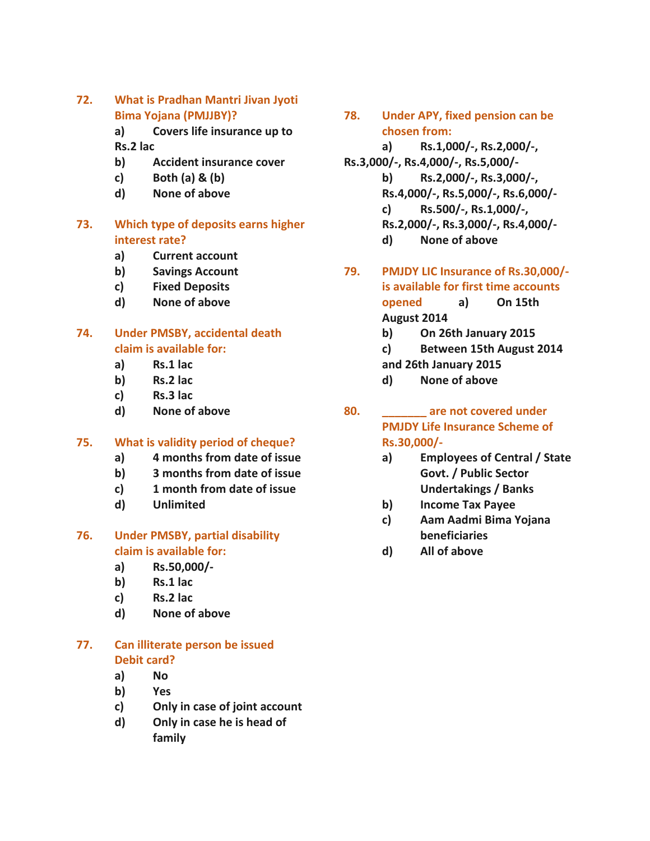**72. What is Pradhan Mantri Jivan Jyoti Bima Yojana (PMJJBY)?**

> **a) Covers life insurance up to Rs.2 lac**

- **b) Accident insurance cover**
- **c) Both (a) & (b)**
- **d) None of above**

# **73. Which type of deposits earns higher interest rate?**

- **a) Current account**
- **b) Savings Account**
- **c) Fixed Deposits**
- **d) None of above**

# **74. Under PMSBY, accidental death claim is available for:**

- **a) Rs.1 lac**
- **b) Rs.2 lac**
- **c) Rs.3 lac**
- **d) None of above**

#### **75. What is validity period of cheque?**

- **a) 4 months from date of issue**
- **b) 3 months from date of issue**
- **c) 1 month from date of issue**
- **d) Unlimited**

#### **76. Under PMSBY, partial disability claim is available for:**

- **a) Rs.50,000/-**
- **b) Rs.1 lac**
- **c) Rs.2 lac**
- **d) None of above**

# **77. Can illiterate person be issued Debit card?**

- **a) No**
- **b) Yes**
- **c) Only in case of joint account**
- **d) Only in case he is head of family**
- **78. Under APY, fixed pension can be chosen from:**
	- **a) Rs.1,000/-, Rs.2,000/-,**
- **Rs.3,000/-, Rs.4,000/-, Rs.5,000/ b) Rs.2,000/-, Rs.3,000/-, Rs.4,000/-, Rs.5,000/-, Rs.6,000/**
	- **c) Rs.500/-, Rs.1,000/-,**
	- **Rs.2,000/-, Rs.3,000/-, Rs.4,000/**
		- **d) None of above**
- **79. PMJDY LIC Insurance of Rs.30,000/ is available for first time accounts**

**opened a) On 15th August 2014**

- **b) On 26th January 2015**
- **c) Between 15th August 2014**
- **and 26th January 2015**
- **d) None of above**
- **80. \_\_\_\_\_\_\_ are not covered under PMJDY Life Insurance Scheme of Rs.30,000/**
	- **a) Employees of Central / State Govt. / Public Sector Undertakings / Banks**
	- **b) Income Tax Payee**
	- **c) Aam Aadmi Bima Yojana beneficiaries**
	- **d) All of above**